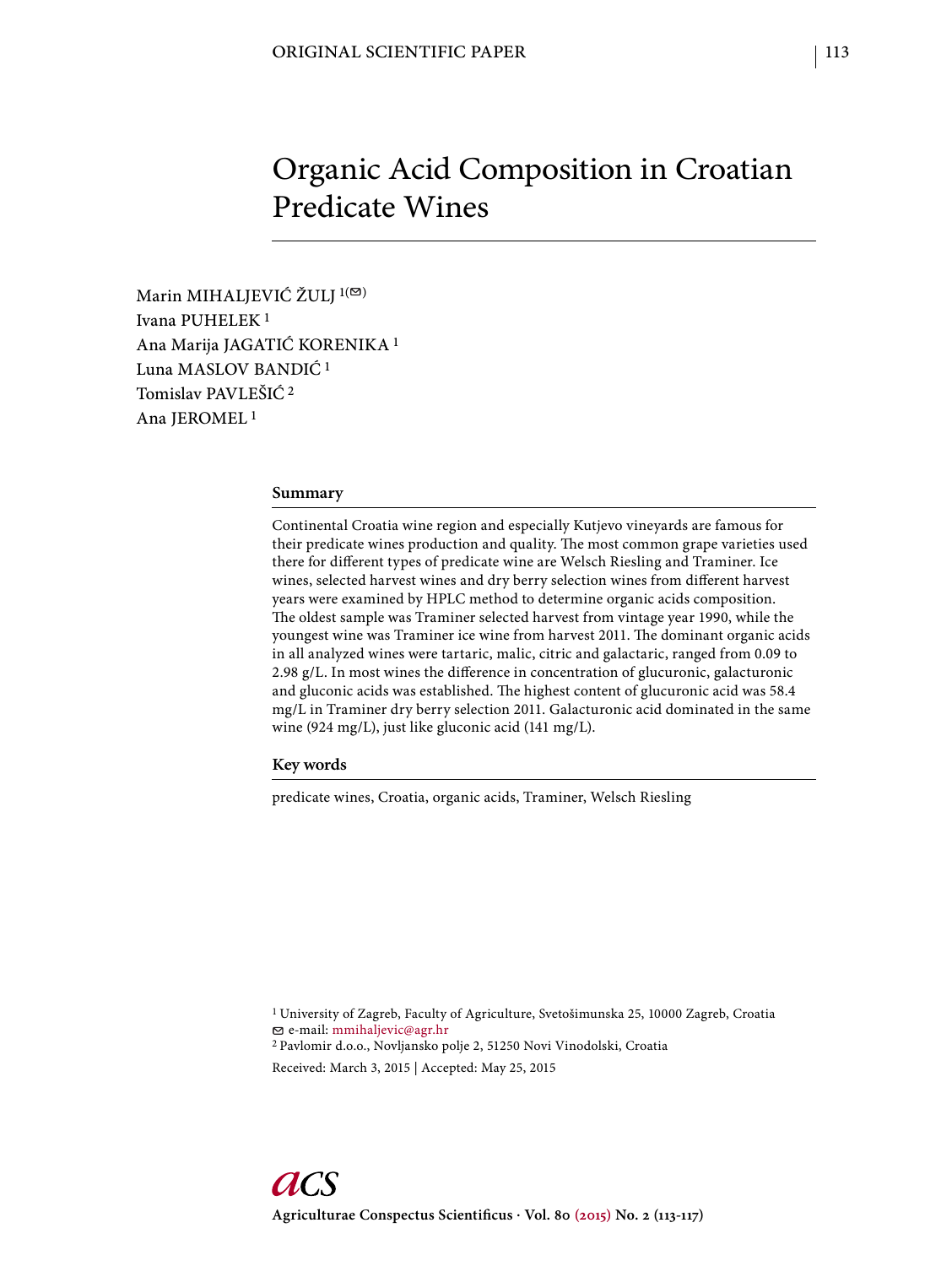# Organic Acid Composition in Croatian Predicate Wines

Marin MIHALJEVIĆ ŽULJ <sup>1(⊠)</sup> Ivana PUHELEK 1 Ana Marija JAGATIĆ KORENIKA 1 Luna MASLOV BANDIĆ 1 Tomislav PAVLEŠIĆ 2 Ana JEROMEL 1

#### **Summary**

Continental Croatia wine region and especially Kutjevo vineyards are famous for their predicate wines production and quality. The most common grape varieties used there for different types of predicate wine are Welsch Riesling and Traminer. Ice wines, selected harvest wines and dry berry selection wines from different harvest years were examined by HPLC method to determine organic acids composition. The oldest sample was Traminer selected harvest from vintage year 1990, while the youngest wine was Traminer ice wine from harvest 2011. The dominant organic acids in all analyzed wines were tartaric, malic, citric and galactaric, ranged from 0.09 to 2.98 g/L. In most wines the difference in concentration of glucuronic, galacturonic and gluconic acids was established. The highest content of glucuronic acid was 58.4 mg/L in Traminer dry berry selection 2011. Galacturonic acid dominated in the same wine (924 mg/L), just like gluconic acid (141 mg/L).

**Key words**

predicate wines, Croatia, organic acids, Traminer, Welsch Riesling

1 University of Zagreb, Faculty of Agriculture, Svetošimunska 25, 10000 Zagreb, Croatia e-mail: mmihaljevic@agr.hr 2 Pavlomir d.o.o., Novljansko polje 2, 51250 Novi Vinodolski, Croatia

Received: March 3, 2015 | Accepted: May 25, 2015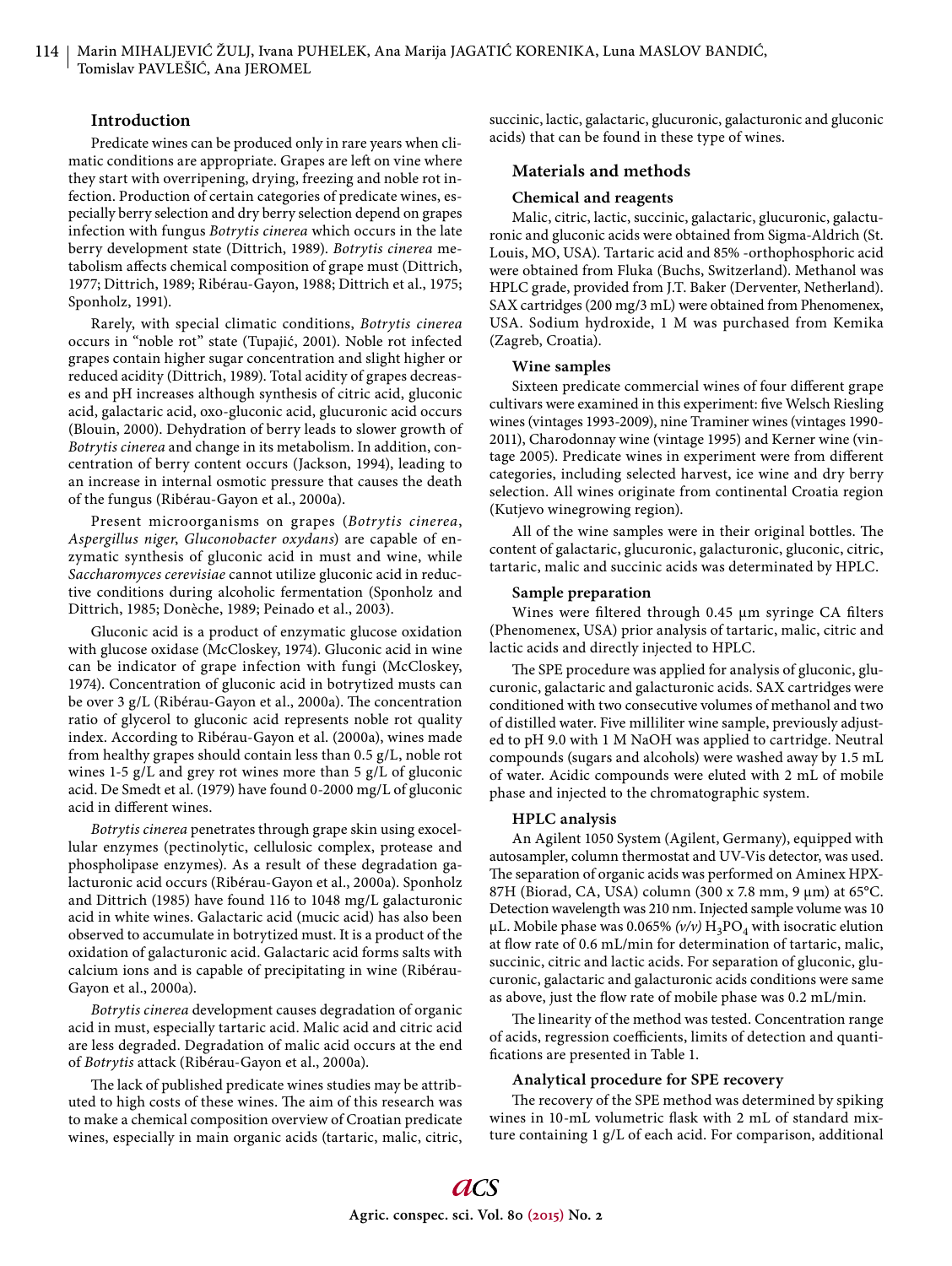## **Introduction**

Predicate wines can be produced only in rare years when climatic conditions are appropriate. Grapes are left on vine where they start with overripening, drying, freezing and noble rot infection. Production of certain categories of predicate wines, especially berry selection and dry berry selection depend on grapes infection with fungus *Botrytis cinerea* which occurs in the late berry development state (Dittrich, 1989). *Botrytis cinerea* metabolism affects chemical composition of grape must (Dittrich, 1977; Dittrich, 1989; Ribérau-Gayon, 1988; Dittrich et al., 1975; Sponholz, 1991).

Rarely, with special climatic conditions, *Botrytis cinerea* occurs in "noble rot" state (Tupajić, 2001). Noble rot infected grapes contain higher sugar concentration and slight higher or reduced acidity (Dittrich, 1989). Total acidity of grapes decreases and pH increases although synthesis of citric acid, gluconic acid, galactaric acid, oxo-gluconic acid, glucuronic acid occurs (Blouin, 2000). Dehydration of berry leads to slower growth of *Botrytis cinerea* and change in its metabolism. In addition, concentration of berry content occurs (Jackson, 1994), leading to an increase in internal osmotic pressure that causes the death of the fungus (Ribérau-Gayon et al., 2000a).

Present microorganisms on grapes (*Botrytis cinerea*, *Aspergillus niger*, *Gluconobacter oxydans*) are capable of enzymatic synthesis of gluconic acid in must and wine, while *Saccharomyces cerevisiae* cannot utilize gluconic acid in reductive conditions during alcoholic fermentation (Sponholz and Dittrich, 1985; Donèche, 1989; Peinado et al., 2003).

Gluconic acid is a product of enzymatic glucose oxidation with glucose oxidase (McCloskey, 1974). Gluconic acid in wine can be indicator of grape infection with fungi (McCloskey, 1974). Concentration of gluconic acid in botrytized musts can be over 3 g/L (Ribérau-Gayon et al., 2000a). The concentration ratio of glycerol to gluconic acid represents noble rot quality index. According to Ribérau-Gayon et al. (2000a), wines made from healthy grapes should contain less than 0.5 g/L, noble rot wines 1-5 g/L and grey rot wines more than 5 g/L of gluconic acid. De Smedt et al. (1979) have found 0-2000 mg/L of gluconic acid in different wines.

*Botrytis cinerea* penetrates through grape skin using exocellular enzymes (pectinolytic, cellulosic complex, protease and phospholipase enzymes). As a result of these degradation galacturonic acid occurs (Ribérau-Gayon et al., 2000a). Sponholz and Dittrich (1985) have found 116 to 1048 mg/L galacturonic acid in white wines. Galactaric acid (mucic acid) has also been observed to accumulate in botrytized must. It is a product of the oxidation of galacturonic acid. Galactaric acid forms salts with calcium ions and is capable of precipitating in wine (Ribérau-Gayon et al., 2000a).

*Botrytis cinerea* development causes degradation of organic acid in must, especially tartaric acid. Malic acid and citric acid are less degraded. Degradation of malic acid occurs at the end of *Botrytis* attack (Ribérau-Gayon et al., 2000a).

The lack of published predicate wines studies may be attributed to high costs of these wines. The aim of this research was to make a chemical composition overview of Croatian predicate wines, especially in main organic acids (tartaric, malic, citric, succinic, lactic, galactaric, glucuronic, galacturonic and gluconic acids) that can be found in these type of wines.

## **Materials and methods**

#### **Chemical and reagents**

Malic, citric, lactic, succinic, galactaric, glucuronic, galacturonic and gluconic acids were obtained from Sigma-Aldrich (St. Louis, MO, USA). Tartaric acid and 85% -orthophosphoric acid were obtained from Fluka (Buchs, Switzerland). Methanol was HPLC grade, provided from J.T. Baker (Derventer, Netherland). SAX cartridges (200 mg/3 mL) were obtained from Phenomenex, USA. Sodium hydroxide, 1 M was purchased from Kemika (Zagreb, Croatia).

#### **Wine samples**

Sixteen predicate commercial wines of four different grape cultivars were examined in this experiment: five Welsch Riesling wines (vintages 1993-2009), nine Traminer wines (vintages 1990- 2011), Charodonnay wine (vintage 1995) and Kerner wine (vintage 2005). Predicate wines in experiment were from different categories, including selected harvest, ice wine and dry berry selection. All wines originate from continental Croatia region (Kutjevo winegrowing region).

All of the wine samples were in their original bottles. The content of galactaric, glucuronic, galacturonic, gluconic, citric, tartaric, malic and succinic acids was determinated by HPLC.

#### **Sample preparation**

Wines were filtered through 0.45 μm syringe CA filters (Phenomenex, USA) prior analysis of tartaric, malic, citric and lactic acids and directly injected to HPLC.

The SPE procedure was applied for analysis of gluconic, glucuronic, galactaric and galacturonic acids. SAX cartridges were conditioned with two consecutive volumes of methanol and two of distilled water. Five milliliter wine sample, previously adjusted to pH 9.0 with 1 M NaOH was applied to cartridge. Neutral compounds (sugars and alcohols) were washed away by 1.5 mL of water. Acidic compounds were eluted with 2 mL of mobile phase and injected to the chromatographic system.

#### **HPLC analysis**

An Agilent 1050 System (Agilent, Germany), equipped with autosampler, column thermostat and UV-Vis detector, was used. The separation of organic acids was performed on Aminex HPX-87H (Biorad, CA, USA) column (300 x 7.8 mm, 9 μm) at 65°C. Detection wavelength was 210 nm. Injected sample volume was 10 μL. Mobile phase was 0.065% ( $v/v$ )  $H_3PO_4$  with isocratic elution at flow rate of 0.6 mL/min for determination of tartaric, malic, succinic, citric and lactic acids. For separation of gluconic, glucuronic, galactaric and galacturonic acids conditions were same as above, just the flow rate of mobile phase was 0.2 mL/min.

The linearity of the method was tested. Concentration range of acids, regression coefficients, limits of detection and quantifications are presented in Table 1.

#### **Analytical procedure for SPE recovery**

The recovery of the SPE method was determined by spiking wines in 10-mL volumetric flask with 2 mL of standard mixture containing 1 g/L of each acid. For comparison, additional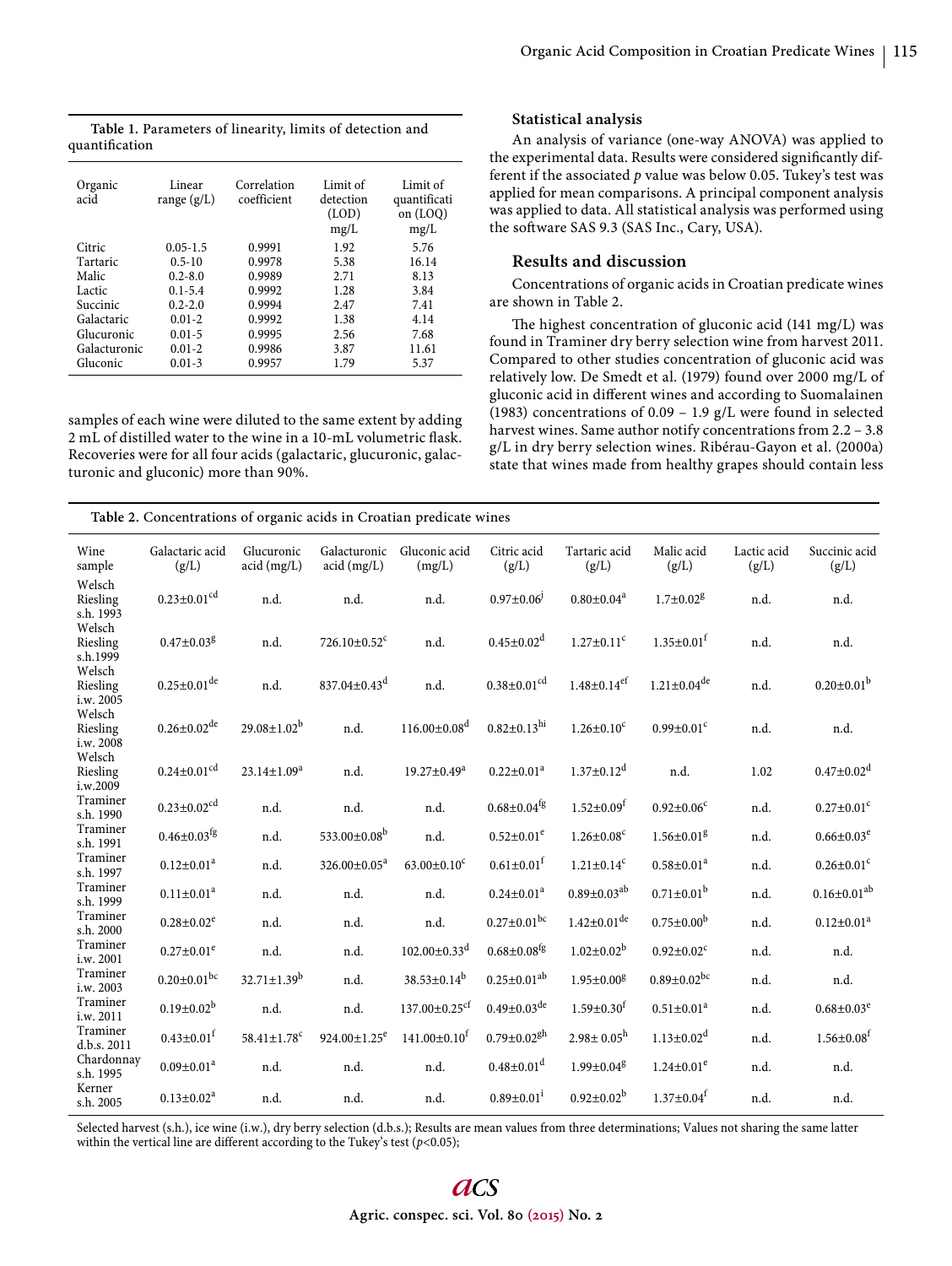**Table 1.** Parameters of linearity, limits of detection and quantification

| Organic<br>acid | Linear<br>range $(g/L)$ | Correlation<br>coefficient | Limit of<br>detection<br>(LOD)<br>mg/L | Limit of<br>quantificati<br>on (LOQ)<br>mg/L |
|-----------------|-------------------------|----------------------------|----------------------------------------|----------------------------------------------|
| Citric          | $0.05 - 1.5$            | 0.9991                     | 1.92                                   | 5.76                                         |
| Tartaric        | $0.5 - 10$              | 0.9978                     | 5.38                                   | 16.14                                        |
| Malic           | $0.2 - 8.0$             | 0.9989                     | 2.71                                   | 8.13                                         |
| Lactic          | $0.1 - 5.4$             | 0.9992                     | 1.28                                   | 3.84                                         |
| Succinic        | $0.2 - 2.0$             | 0.9994                     | 2.47                                   | 7.41                                         |
| Galactaric      | $0.01 - 2$              | 0.9992                     | 1.38                                   | 4.14                                         |
| Glucuronic      | $0.01 - 5$              | 0.9995                     | 2.56                                   | 7.68                                         |
| Galacturonic    | $0.01 - 2$              | 0.9986                     | 3.87                                   | 11.61                                        |
| Gluconic        | $0.01 - 3$              | 0.9957                     | 1.79                                   | 5.37                                         |

samples of each wine were diluted to the same extent by adding  $2 \, \rm{mL}$  of distilled water to the wine in a 10-mL volumetric flask. Recoveries were for all four acids (galactaric, glucuronic, galacturonic and gluconic) more than 90%.

#### **Statistical analysis**

An analysis of variance (one-way ANOVA) was applied to the experimental data. Results were considered significantly different if the associated *p* value was below 0.05. Tukey's test was applied for mean comparisons. A principal component analysis was applied to data. All statistical analysis was performed using the software SAS 9.3 (SAS Inc., Cary, USA).

# **Results and discussion**

Concentrations of organic acids in Croatian predicate wines are shown in Table 2.

The highest concentration of gluconic acid (141 mg/L) was found in Traminer dry berry selection wine from harvest 2011. Compared to other studies concentration of gluconic acid was relatively low. De Smedt et al. (1979) found over 2000 mg/L of gluconic acid in different wines and according to Suomalainen (1983) concentrations of 0.09 – 1.9 g/L were found in selected harvest wines. Same author notify concentrations from 2.2 - 3.8 g/L in dry berry selection wines. Ribérau-Gayon et al. (2000a) state that wines made from healthy grapes should contain less

| Table 2. Concentrations of organic acids in Croatian predicate wines |                               |                               |                                |                                |                               |                               |                               |                      |                              |  |  |
|----------------------------------------------------------------------|-------------------------------|-------------------------------|--------------------------------|--------------------------------|-------------------------------|-------------------------------|-------------------------------|----------------------|------------------------------|--|--|
| Wine<br>sample                                                       | Galactaric acid<br>(g/L)      | Glucuronic<br>acid (mg/L)     | Galacturonic<br>acid (mg/L)    | Gluconic acid<br>(mg/L)        | Citric acid<br>(g/L)          | Tartaric acid<br>(g/L)        | Malic acid<br>(g/L)           | Lactic acid<br>(g/L) | Succinic acid<br>(g/L)       |  |  |
| Welsch<br>Riesling<br>s.h. 1993                                      | $0.23 \pm 0.01$ <sup>cd</sup> | n.d.                          | n.d.                           | n.d.                           | $0.97 \pm 0.06$               | $0.80 \pm 0.04^a$             | $1.7 \pm 0.02$ <sup>g</sup>   | n.d.                 | n.d.                         |  |  |
| Welsch<br>Riesling<br>s.h.1999                                       | $0.47 \pm 0.03$ <sup>g</sup>  | n.d.                          | 726.10±0.52 <sup>c</sup>       | n.d.                           | $0.45 \pm 0.02$ <sup>d</sup>  | $1.27 \pm 0.11$ <sup>c</sup>  | $1.35 \pm 0.01$ <sup>f</sup>  | n.d.                 | n.d.                         |  |  |
| Welsch<br>Riesling<br>i.w. 2005                                      | $0.25 \pm 0.01$ <sup>de</sup> | n.d.                          | 837.04±0.43 <sup>d</sup>       | n.d.                           | $0.38 \pm 0.01$ <sup>cd</sup> | $1.48 \pm 0.14$ <sup>ef</sup> | $1.21 \pm 0.04$ <sup>de</sup> | n.d.                 | $0.20 \pm 0.01^b$            |  |  |
| Welsch<br>Riesling<br>i.w. 2008                                      | $0.26{\pm}0.02^{\text{de}}$   | $29.08 \pm 1.02^b$            | n.d.                           | $116.00 \pm 0.08$ <sup>d</sup> | $0.82 \pm 0.13$ hi            | $1.26{\pm}0.10^{\rm c}$       | $0.99 \pm 0.01$ c             | n.d.                 | n.d.                         |  |  |
| Welsch<br>Riesling<br>i.w.2009                                       | $0.24 \pm 0.01$ <sup>cd</sup> | $23.14 \pm 1.09^a$            | n.d.                           | $19.27 \pm 0.49^a$             | $0.22 \pm 0.01^a$             | $1.37 \pm 0.12$ <sup>d</sup>  | n.d.                          | 1.02                 | $0.47 \pm 0.02$ <sup>d</sup> |  |  |
| Traminer<br>s.h. 1990                                                | $0.23 \pm 0.02$ <sup>cd</sup> | n.d.                          | n.d.                           | n.d.                           | $0.68 \pm 0.04$ <sup>fg</sup> | $1.52 \pm 0.09$ <sup>f</sup>  | $0.92 \pm 0.06$ <sup>c</sup>  | n.d.                 | $0.27 \pm 0.01$ <sup>c</sup> |  |  |
| Traminer<br>s.h. 1991                                                | $0.46 \pm 0.03$ <sup>fg</sup> | n.d.                          | 533.00 $\pm$ 0.08 <sup>b</sup> | n.d.                           | $0.52 \pm 0.01^e$             | $1.26 \pm 0.08$ <sup>c</sup>  | $1.56 \pm 0.01$ <sup>g</sup>  | n.d.                 | $0.66 \pm 0.03^e$            |  |  |
| Traminer<br>s.h. 1997                                                | $0.12 \pm 0.01^a$             | n.d.                          | 326.00±0.05 <sup>a</sup>       | $63.00 \pm 0.10^c$             | $0.61 \pm 0.01$ <sup>f</sup>  | $1.21 \pm 0.14$ <sup>c</sup>  | $0.58 \pm 0.01^a$             | n.d.                 | $0.26 \pm 0.01$ <sup>c</sup> |  |  |
| Traminer<br>s.h. 1999                                                | $0.11 \pm 0.01^a$             | n.d.                          | n.d.                           | n.d.                           | $0.24 \pm 0.01^a$             | $0.89 \pm 0.03^{ab}$          | $0.71 \pm 0.01^b$             | n.d.                 | $0.16 \pm 0.01^{ab}$         |  |  |
| Traminer<br>s.h. 2000                                                | $0.28 \pm 0.02^e$             | n.d.                          | n.d.                           | n.d.                           | $0.27 \pm 0.01$ bc            | $1.42 \pm 0.01$ <sup>de</sup> | $0.75 \pm 0.00^b$             | n.d.                 | $0.12 \pm 0.01^a$            |  |  |
| Traminer<br>i.w. 2001                                                | $0.27 \pm 0.01^e$             | n.d.                          | n.d.                           | $102.00 \pm 0.33$ <sup>d</sup> | $0.68 \pm 0.08$ <sup>fg</sup> | $1.02 \pm 0.02^b$             | $0.92 \pm 0.02$ <sup>c</sup>  | n.d.                 | n.d.                         |  |  |
| Traminer<br>i.w. 2003                                                | $0.20 \pm 0.01$ bc            | $32.71 \pm 1.39^b$            | n.d.                           | $38.53 \pm 0.14^b$             | $0.25 \pm 0.01^{ab}$          | $1.95 \pm 0.00$ <sup>g</sup>  | $0.89 \pm 0.02^{bc}$          | n.d.                 | n.d.                         |  |  |
| Traminer<br>i.w. 2011                                                | $0.19 \pm 0.02^b$             | n.d.                          | n.d.                           | $137.00 \pm 0.25$ cf           | $0.49 \pm 0.03$ <sup>de</sup> | $1.59 \pm 0.30$ <sup>f</sup>  | $0.51 \pm 0.01^a$             | n.d.                 | $0.68 \pm 0.03^e$            |  |  |
| Traminer<br>d.b.s. 2011                                              | $0.43 \pm 0.01$ <sup>f</sup>  | $58.41 \pm 1.78$ <sup>c</sup> | $924.00 \pm 1.25$ <sup>e</sup> | $141.00 \pm 0.10^t$            | $0.79 \pm 0.02$ gh            | $2.98 \pm 0.05^{\rm h}$       | $1.13 \pm 0.02$ <sup>d</sup>  | n.d.                 | $1.56 \pm 0.08$ <sup>f</sup> |  |  |
| Chardonnay<br>s.h. 1995                                              | $0.09 \pm 0.01^a$             | n.d.                          | n.d.                           | n.d.                           | $0.48 \pm 0.01$ <sup>d</sup>  | $1.99 \pm 0.04$ <sup>g</sup>  | $1.24 \pm 0.01^e$             | n.d.                 | n.d.                         |  |  |
| Kerner<br>s.h. 2005                                                  | $0.13 \pm 0.02^a$             | n.d.                          | n.d.                           | n.d.                           | $0.89 \pm 0.01$ <sup>i</sup>  | $0.92 \pm 0.02^b$             | $1.37 \pm 0.04$ <sup>f</sup>  | n.d.                 | n.d.                         |  |  |

Selected harvest (s.h.), ice wine (i.w.), dry berry selection (d.b.s.); Results are mean values from three determinations; Values not sharing the same latter within the vertical line are different according to the Tukey's test ( $p$ <0.05);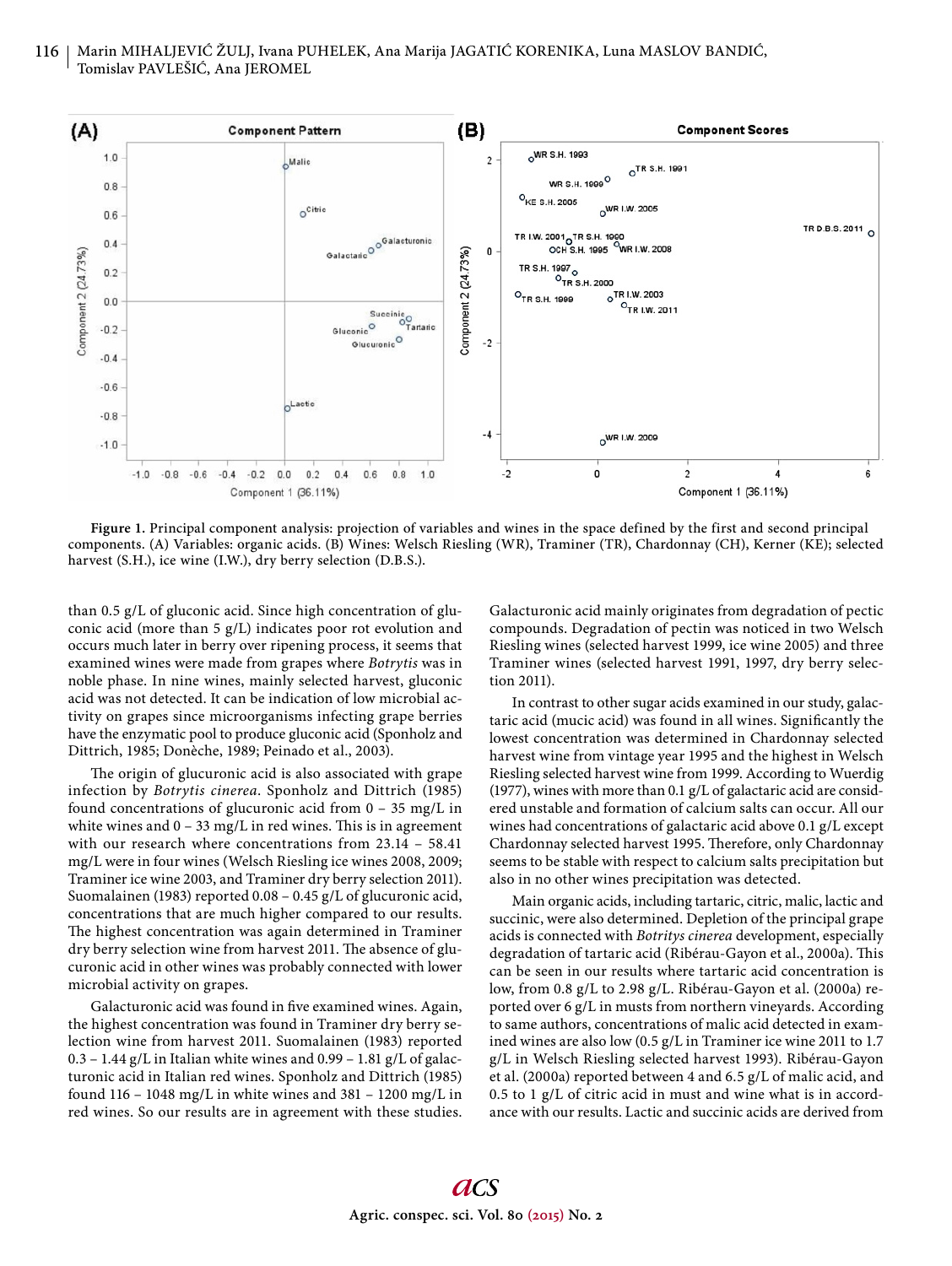# 116 | Marin MIHALJEVIĆ ŽULJ, Ivana PUHELEK, Ana Marija JAGATIĆ KORENIKA, Luna MASLOV BANDIĆ, Tomislav PAVLEŠIĆ, Ana JEROMEL



**Figure 1.** Principal component analysis: projection of variables and wines in the space defined by the first and second principal components. (A) Variables: organic acids. (B) Wines: Welsch Riesling (WR), Traminer (TR), Chardonnay (CH), Kerner (KE); selected harvest (S.H.), ice wine (I.W.), dry berry selection (D.B.S.).

than 0.5 g/L of gluconic acid. Since high concentration of gluconic acid (more than 5 g/L) indicates poor rot evolution and occurs much later in berry over ripening process, it seems that examined wines were made from grapes where *Botrytis* was in noble phase. In nine wines, mainly selected harvest, gluconic acid was not detected. It can be indication of low microbial activity on grapes since microorganisms infecting grape berries have the enzymatic pool to produce gluconic acid (Sponholz and Dittrich, 1985; Donèche, 1989; Peinado et al., 2003).

The origin of glucuronic acid is also associated with grape infection by *Botrytis cinerea*. Sponholz and Dittrich (1985) found concentrations of glucuronic acid from 0 – 35 mg/L in white wines and  $0 - 33$  mg/L in red wines. This is in agreement with our research where concentrations from 23.14 – 58.41 mg/L were in four wines (Welsch Riesling ice wines 2008, 2009; Traminer ice wine 2003, and Traminer dry berry selection 2011). Suomalainen (1983) reported 0.08 – 0.45 g/L of glucuronic acid, concentrations that are much higher compared to our results. The highest concentration was again determined in Traminer dry berry selection wine from harvest 2011. The absence of glucuronic acid in other wines was probably connected with lower microbial activity on grapes.

Galacturonic acid was found in five examined wines. Again, the highest concentration was found in Traminer dry berry selection wine from harvest 2011. Suomalainen (1983) reported  $0.3 - 1.44$  g/L in Italian white wines and  $0.99 - 1.81$  g/L of galacturonic acid in Italian red wines. Sponholz and Dittrich (1985) found  $116 - 1048$  mg/L in white wines and  $381 - 1200$  mg/L in red wines. So our results are in agreement with these studies.

Galacturonic acid mainly originates from degradation of pectic compounds. Degradation of pectin was noticed in two Welsch Riesling wines (selected harvest 1999, ice wine 2005) and three Traminer wines (selected harvest 1991, 1997, dry berry selection 2011).

In contrast to other sugar acids examined in our study, galactaric acid (mucic acid) was found in all wines. Significantly the lowest concentration was determined in Chardonnay selected harvest wine from vintage year 1995 and the highest in Welsch Riesling selected harvest wine from 1999. According to Wuerdig (1977), wines with more than 0.1 g/L of galactaric acid are considered unstable and formation of calcium salts can occur. All our wines had concentrations of galactaric acid above 0.1 g/L except Chardonnay selected harvest 1995. Therefore, only Chardonnay seems to be stable with respect to calcium salts precipitation but also in no other wines precipitation was detected.

Main organic acids, including tartaric, citric, malic, lactic and succinic, were also determined. Depletion of the principal grape acids is connected with *Botritys cinerea* development, especially degradation of tartaric acid (Ribérau-Gayon et al., 2000a). This can be seen in our results where tartaric acid concentration is low, from 0.8 g/L to 2.98 g/L. Ribérau-Gayon et al. (2000a) reported over 6 g/L in musts from northern vineyards. According to same authors, concentrations of malic acid detected in examined wines are also low (0.5 g/L in Traminer ice wine 2011 to 1.7 g/L in Welsch Riesling selected harvest 1993). Ribérau-Gayon et al. (2000a) reported between 4 and 6.5 g/L of malic acid, and 0.5 to 1 g/L of citric acid in must and wine what is in accordance with our results. Lactic and succinic acids are derived from